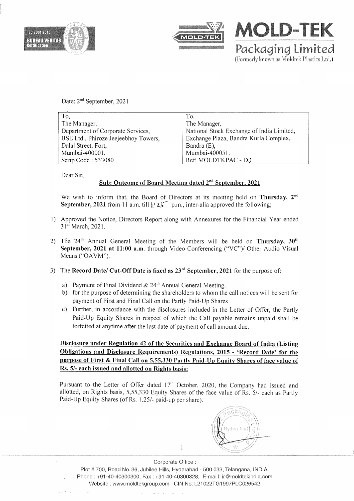



MOLD-TEK Packaging Limited (Formerly known as Moldtek Plastics Ltd.)

Date: 2<sup>nd</sup> September, 2021

| To,                                  | To.                                       |
|--------------------------------------|-------------------------------------------|
| The Manager,                         | The Manager,                              |
| Department of Corporate Services,    | National Stock Exchange of India Limited, |
| BSE Ltd., Phiroze Jeejeebhoy Towers, | Exchange Plaza, Bandra Kurla Complex,     |
| Dalal Street, Fort,                  | Bandra (E),                               |
| Mumbai-400001.                       | Mumbai-400051.                            |
| Scrip Code: 533080                   | Ref: MOLDTKPAC - EQ                       |

Dear Sir,

## Sub: Outcome of Board Meeting dated 2<sup>nd</sup> September, 2021

We wish to inform that, the Board of Directors at its meeting held on Thursday, 2<sup>nd</sup> September, 2021 from 11 a.m. till 1:25 p.m., inter-alia approved the following;

- 1) Approved the Notice, Directors Report along with Annexures for the Financial Year ended 31<sup>st</sup> March, 2021.
- 2) The  $24<sup>th</sup>$  Annual General Meeting of the Members will be held on Thursday,  $30<sup>th</sup>$ September, 2021 at 11:00 a.m. through Video Conferencing ("VC")/ Other Audio Visual Means ("OAVM").
- 3) The Record Date/ Cut-Off Date is fixed as  $23<sup>rd</sup>$  September, 2021 for the purpose of:
	- a) Payment of Final Dividend &  $24<sup>th</sup>$  Annual General Meeting.
	- b) for the purpose of determining the shareholders to whom the call notices will be sent for payment of First and Final Calion the Partly Paid-Up Shares
	- c) Further, in accordance with the disclosures included in the Letter of Offer, the Partly Paid-Up Equity Shares in respect of which the Call payable remains unpaid shall be forfeited at anytime after the last date of payment of call amount due.

Disclosure under Regulation 42 of the Securities and Exchange Board of India (Listing Obligations and Disclosure Requirements) Regulations, 2015 - 'Record Date' for the purpose of First & Final Call on 5,55,330 Partly Paid-Up Equity Shares of face value of Rs. 5/- each issued and allotted on Rights basis:

Pursuant to the Letter of Offer dated 17<sup>th</sup> October, 2020, the Company had issued and allotted, on Rights basis, 5,55,330 Equity Shares of the face value of Rs. 5/- each as Partly Paid-Up Equity Shares (of Rs. 1.25/- paid-up per share).



1

Corporate Office : Plot # 700, Road No. 36, Jubilee Hills, Hyderabad - 500 033, Telangana, INDIA. Phone: +91-40-40300300, Fax: +91-40-40300328, E-mai I: ir@moldtekindia.com Website: www.moldtekgroup.com CIN No: L21022TG1997PLC026542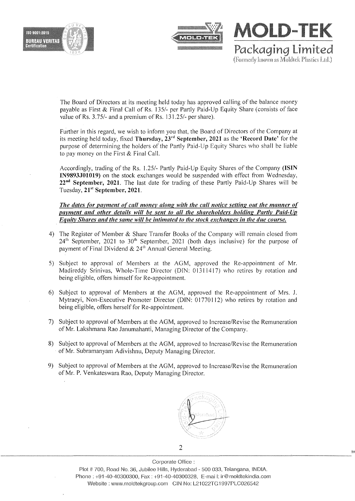





The Board of Directors at its meeting held today has approved calling of the balance money payable as First & Final Call of Rs. 135/- per Partly Paid-Up Equity Share (consists of face value of Rs. 3.75/- and a premium of Rs. 131.25/- per share).

Further in this regard, we wish to inform you that, the Board of Directors of the Company at its meeting held today, fixed Thursday,  $23<sup>rd</sup>$  September, 2021 as the 'Record Date' for the purpose of determining the holders of the Partly Paid-Up Equity Shares who shall be liable to pay money on the First & Final Call.

Accordingly, trading of the Rs. 1.25/- Partly Paid-Up Equity Shares of the Company (ISIN IN9893JOI019) on the stock exchanges would be suspended with effect from Wednesday,  $22<sup>nd</sup>$  September, 2021. The last date for trading of these Partly Paid-Up Shares will be Tuesday, 21<sup>st</sup> September, 2021.

*The dates for pavment of call monev along with the call notice setting out the manner of pavment and other details will be sent to all the shareholders holding Partlv Paid-Up Equity Shares and the same will be intimated to the stock exchanges in the due course.* 

- 4) The Register of Member & Share Transfer Books of the Company will remain closed from  $24<sup>th</sup>$  September, 2021 to 30<sup>th</sup> September, 2021 (both days inclusive) for the purpose of payment of Final Dividend &  $24<sup>th</sup>$  Annual General Meeting.
- 5) Subject to approval of Members at the AGM, approved the Re-appointment of Mr. Madireddy Srinivas, Whole-Time Director (DIN: 013/1417) who retires by rotation and being eligible, offers himself for Re-appointment.
- 6) Subject to approval of Members at the AGM, approved the Re-appointment of Mrs. J. Mytraeyi, Non-Executive Promoter Director (DIN: 01770112) who retires by rotation and being eligible, offers herself for Re-appointment.
- 7) Subject to approval of Members at the AGM, approved to Increase/Revise the Remuneration ofMr. Lakshmana Rao Janumahanti, Managing Director of the Company.
- 8) Subject to approval of Members at the AGM, approved to Increase/Revise the Remuneration of Mr. Subramanyam Adivishnu, Deputy Managing Director.
- 9) Subject to approval of Members at the AGM, approved to Increase/Revise the Remuneration of Mr. P. Venkateswara Rao, Deputy Managing Director.



Corporate Office : Plot #700, Road No. 36, Jubilee Hills, Hyderabad - 500 033, Telangana, INDIA. Phone: +91-40-40300300, Fax: +91-40-40300328, E-mail: ir@moldtekindia.com Website: www.moldtekgroup.com CIN No: L21022TG1997PLC026542